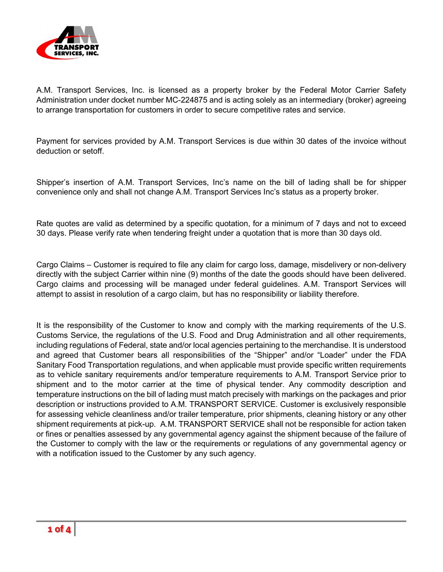

A.M. Transport Services, Inc. is licensed as a property broker by the Federal Motor Carrier Safety Administration under docket number MC-224875 and is acting solely as an intermediary (broker) agreeing to arrange transportation for customers in order to secure competitive rates and service.

Payment for services provided by A.M. Transport Services is due within 30 dates of the invoice without deduction or setoff.

Shipper's insertion of A.M. Transport Services, Inc's name on the bill of lading shall be for shipper convenience only and shall not change A.M. Transport Services Inc's status as a property broker.

Rate quotes are valid as determined by a specific quotation, for a minimum of 7 days and not to exceed 30 days. Please verify rate when tendering freight under a quotation that is more than 30 days old.

Cargo Claims – Customer is required to file any claim for cargo loss, damage, misdelivery or non-delivery directly with the subject Carrier within nine (9) months of the date the goods should have been delivered. Cargo claims and processing will be managed under federal guidelines. A.M. Transport Services will attempt to assist in resolution of a cargo claim, but has no responsibility or liability therefore.

It is the responsibility of the Customer to know and comply with the marking requirements of the U.S. Customs Service, the regulations of the U.S. Food and Drug Administration and all other requirements, including regulations of Federal, state and/or local agencies pertaining to the merchandise. It is understood and agreed that Customer bears all responsibilities of the "Shipper" and/or "Loader" under the FDA Sanitary Food Transportation regulations, and when applicable must provide specific written requirements as to vehicle sanitary requirements and/or temperature requirements to A.M. Transport Service prior to shipment and to the motor carrier at the time of physical tender. Any commodity description and temperature instructions on the bill of lading must match precisely with markings on the packages and prior description or instructions provided to A.M. TRANSPORT SERVICE. Customer is exclusively responsible for assessing vehicle cleanliness and/or trailer temperature, prior shipments, cleaning history or any other shipment requirements at pick-up. A.M. TRANSPORT SERVICE shall not be responsible for action taken or fines or penalties assessed by any governmental agency against the shipment because of the failure of the Customer to comply with the law or the requirements or regulations of any governmental agency or with a notification issued to the Customer by any such agency.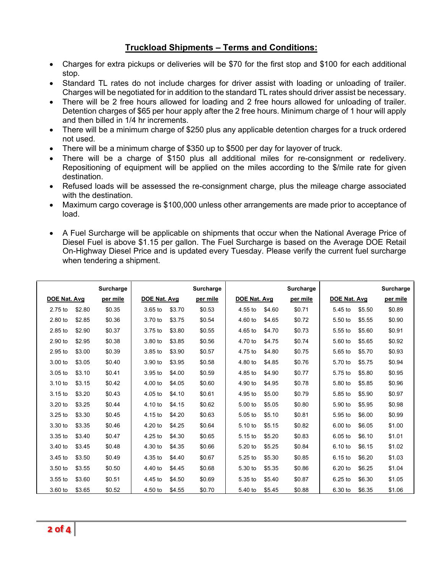## **Truckload Shipments – Terms and Conditions:**

- Charges for extra pickups or deliveries will be \$70 for the first stop and \$100 for each additional stop.
- Standard TL rates do not include charges for driver assist with loading or unloading of trailer. Charges will be negotiated for in addition to the standard TL rates should driver assist be necessary.
- There will be 2 free hours allowed for loading and 2 free hours allowed for unloading of trailer. Detention charges of \$65 per hour apply after the 2 free hours. Minimum charge of 1 hour will apply and then billed in 1/4 hr increments.
- There will be a minimum charge of \$250 plus any applicable detention charges for a truck ordered not used.
- There will be a minimum charge of \$350 up to \$500 per day for layover of truck.
- There will be a charge of \$150 plus all additional miles for re-consignment or redelivery. Repositioning of equipment will be applied on the miles according to the \$/mile rate for given destination.
- Refused loads will be assessed the re-consignment charge, plus the mileage charge associated with the destination.
- Maximum cargo coverage is \$100,000 unless other arrangements are made prior to acceptance of load.
- A Fuel Surcharge will be applicable on shipments that occur when the National Average Price of Diesel Fuel is above \$1.15 per gallon. The Fuel Surcharge is based on the Average DOE Retail On-Highway Diesel Price and is updated every Tuesday. Please verify the current fuel surcharge when tendering a shipment.

|              |        | Surcharge |              |        | <b>Surcharge</b> |              |        | Surcharge |              |        | <b>Surcharge</b> |
|--------------|--------|-----------|--------------|--------|------------------|--------------|--------|-----------|--------------|--------|------------------|
| DOE Nat. Avg |        | per mile  | DOE Nat. Avg |        | per mile         | DOE Nat. Avg |        | per mile  | DOE Nat. Avg |        | per mile         |
| 2.75 to      | \$2.80 | \$0.35    | $3.65$ to    | \$3.70 | \$0.53           | 4.55 to      | \$4.60 | \$0.71    | 5.45 to      | \$5.50 | \$0.89           |
| 2.80 to      | \$2.85 | \$0.36    | 3.70 to      | \$3.75 | \$0.54           | $4.60$ to    | \$4.65 | \$0.72    | 5.50 to      | \$5.55 | \$0.90           |
| 2.85 to      | \$2.90 | \$0.37    | 3.75 to      | \$3.80 | \$0.55           | 4.65 to      | \$4.70 | \$0.73    | 5.55 to      | \$5.60 | \$0.91           |
| 2.90 to      | \$2.95 | \$0.38    | 3.80 to      | \$3.85 | \$0.56           | 4.70 to      | \$4.75 | \$0.74    | 5.60 to      | \$5.65 | \$0.92           |
| 2.95 to      | \$3.00 | \$0.39    | 3.85 to      | \$3.90 | \$0.57           | 4.75 to      | \$4.80 | \$0.75    | $5.65$ to    | \$5.70 | \$0.93           |
| 3.00 to      | \$3.05 | \$0.40    | 3.90 to      | \$3.95 | \$0.58           | 4.80 to      | \$4.85 | \$0.76    | 5.70 to      | \$5.75 | \$0.94           |
| 3.05 to      | \$3.10 | \$0.41    | 3.95 to      | \$4.00 | \$0.59           | 4.85 to      | \$4.90 | \$0.77    | 5.75 to      | \$5.80 | \$0.95           |
| $3.10$ to    | \$3.15 | \$0.42    | 4.00 to      | \$4.05 | \$0.60           | 4.90 to      | \$4.95 | \$0.78    | 5.80 to      | \$5.85 | \$0.96           |
| 3.15 to      | \$3.20 | \$0.43    | 4.05 to      | \$4.10 | \$0.61           | 4.95 to      | \$5.00 | \$0.79    | 5.85 to      | \$5.90 | \$0.97           |
| $3.20$ to    | \$3.25 | \$0.44    | 4.10 to      | \$4.15 | \$0.62           | 5.00 to      | \$5.05 | \$0.80    | 5.90 to      | \$5.95 | \$0.98           |
| 3.25 to      | \$3.30 | \$0.45    | 4.15 to      | \$4.20 | \$0.63           | 5.05 to      | \$5.10 | \$0.81    | 5.95 to      | \$6.00 | \$0.99           |
| 3.30 to      | \$3.35 | \$0.46    | 4.20 to      | \$4.25 | \$0.64           | 5.10 to      | \$5.15 | \$0.82    | 6.00 to      | \$6.05 | \$1.00           |
| $3.35$ to    | \$3.40 | \$0.47    | $4.25$ to    | \$4.30 | \$0.65           | $5.15$ to    | \$5.20 | \$0.83    | $6.05$ to    | \$6.10 | \$1.01           |
| 3.40 to      | \$3.45 | \$0.48    | 4.30 to      | \$4.35 | \$0.66           | 5.20 to      | \$5.25 | \$0.84    | 6.10 to      | \$6.15 | \$1.02           |
| 3.45 to      | \$3.50 | \$0.49    | 4.35 to      | \$4.40 | \$0.67           | 5.25 to      | \$5.30 | \$0.85    | 6.15 to      | \$6.20 | \$1.03           |
| 3.50 to      | \$3.55 | \$0.50    | 4.40 to      | \$4.45 | \$0.68           | 5.30 to      | \$5.35 | \$0.86    | 6.20 to      | \$6.25 | \$1.04           |
| $3.55$ to    | \$3.60 | \$0.51    | 4.45 to      | \$4.50 | \$0.69           | $5.35$ to    | \$5.40 | \$0.87    | 6.25 to      | \$6.30 | \$1.05           |
| 3.60 to      | \$3.65 | \$0.52    | 4.50 to      | \$4.55 | \$0.70           | 5.40 to      | \$5.45 | \$0.88    | 6.30 to      | \$6.35 | \$1.06           |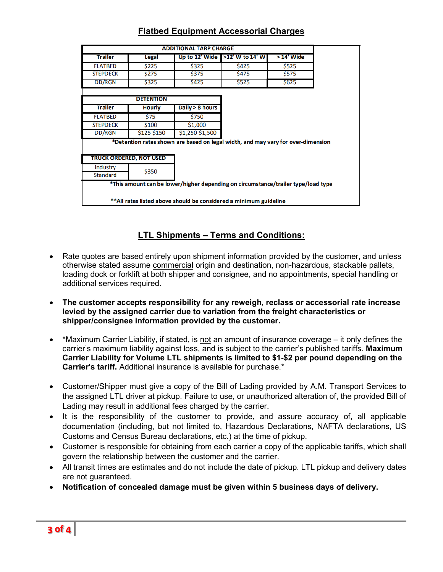|                             |                                                                   | <b>ADDITIONAL TARP CHARGE</b> |                                                                                   |             |
|-----------------------------|-------------------------------------------------------------------|-------------------------------|-----------------------------------------------------------------------------------|-------------|
| <b>Trailer</b>              | Legal                                                             | Up to 12' Wide                | >12' W to 14' W                                                                   | > 14' Wide  |
| <b>FLATBED</b>              | \$225                                                             | \$325                         | \$425                                                                             | \$525       |
| <b>STEPDECK</b>             | \$275                                                             | \$375                         | <b>\$475</b>                                                                      | \$575       |
| <b>DD/RGN</b>               | \$325                                                             | \$425                         | \$525                                                                             | <b>S625</b> |
|                             | <b>DETENTION</b>                                                  |                               |                                                                                   |             |
| <b>Trailer</b>              | <b>Hourly</b>                                                     | Daily > 8 hours               |                                                                                   |             |
| <b>FLATBED</b>              | \$75                                                              | \$750                         |                                                                                   |             |
| <b>STEPDECK</b>             | \$100                                                             | \$1,000                       |                                                                                   |             |
| <b>DD/RGN</b>               | \$125-\$150                                                       | \$1,250-\$1,500               |                                                                                   |             |
|                             | TRUCK ORDERED, NOT USED                                           |                               | *Detention rates shown are based on legal width, and may vary for over-dimension  |             |
| Industry<br><b>Standard</b> | \$350                                                             |                               |                                                                                   |             |
|                             | **All rates listed above should be considered a minimum guideline |                               | *This amount can be lower/higher depending on circumstance/trailer type/load type |             |

## **LTL Shipments – Terms and Conditions:**

- Rate quotes are based entirely upon shipment information provided by the customer, and unless otherwise stated assume commercial origin and destination, non-hazardous, stackable pallets, loading dock or forklift at both shipper and consignee, and no appointments, special handling or additional services required.
- **The customer accepts responsibility for any reweigh, reclass or accessorial rate increase levied by the assigned carrier due to variation from the freight characteristics or shipper/consignee information provided by the customer.**
- \*Maximum Carrier Liability, if stated, is not an amount of insurance coverage it only defines the carrier's maximum liability against loss, and is subject to the carrier's published tariffs. **Maximum Carrier Liability for Volume LTL shipments is limited to \$1-\$2 per pound depending on the Carrier's tariff.** Additional insurance is available for purchase.\*
- Customer/Shipper must give a copy of the Bill of Lading provided by A.M. Transport Services to the assigned LTL driver at pickup. Failure to use, or unauthorized alteration of, the provided Bill of Lading may result in additional fees charged by the carrier.
- It is the responsibility of the customer to provide, and assure accuracy of, all applicable documentation (including, but not limited to, Hazardous Declarations, NAFTA declarations, US Customs and Census Bureau declarations, etc.) at the time of pickup.
- Customer is responsible for obtaining from each carrier a copy of the applicable tariffs, which shall govern the relationship between the customer and the carrier.
- All transit times are estimates and do not include the date of pickup. LTL pickup and delivery dates are not guaranteed.
- **Notification of concealed damage must be given within 5 business days of delivery.**